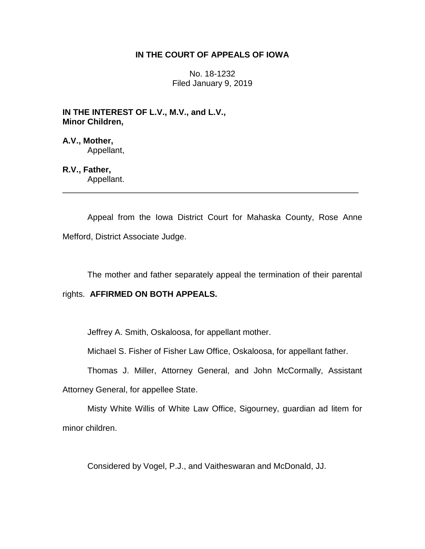## **IN THE COURT OF APPEALS OF IOWA**

No. 18-1232 Filed January 9, 2019

**IN THE INTEREST OF L.V., M.V., and L.V., Minor Children,**

**A.V., Mother,** Appellant,

**R.V., Father,**

Appellant. \_\_\_\_\_\_\_\_\_\_\_\_\_\_\_\_\_\_\_\_\_\_\_\_\_\_\_\_\_\_\_\_\_\_\_\_\_\_\_\_\_\_\_\_\_\_\_\_\_\_\_\_\_\_\_\_\_\_\_\_\_\_\_\_

Appeal from the Iowa District Court for Mahaska County, Rose Anne Mefford, District Associate Judge.

The mother and father separately appeal the termination of their parental

rights. **AFFIRMED ON BOTH APPEALS.**

Jeffrey A. Smith, Oskaloosa, for appellant mother.

Michael S. Fisher of Fisher Law Office, Oskaloosa, for appellant father.

Thomas J. Miller, Attorney General, and John McCormally, Assistant

Attorney General, for appellee State.

Misty White Willis of White Law Office, Sigourney, guardian ad litem for minor children.

Considered by Vogel, P.J., and Vaitheswaran and McDonald, JJ.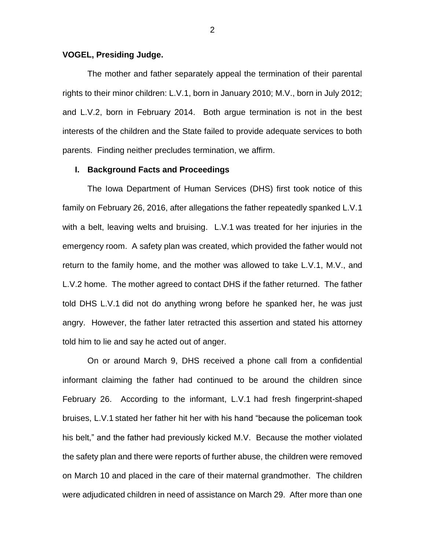#### **VOGEL, Presiding Judge.**

The mother and father separately appeal the termination of their parental rights to their minor children: L.V.1, born in January 2010; M.V., born in July 2012; and L.V.2, born in February 2014. Both argue termination is not in the best interests of the children and the State failed to provide adequate services to both parents. Finding neither precludes termination, we affirm.

#### **I. Background Facts and Proceedings**

The Iowa Department of Human Services (DHS) first took notice of this family on February 26, 2016, after allegations the father repeatedly spanked L.V.1 with a belt, leaving welts and bruising. L.V.1 was treated for her injuries in the emergency room. A safety plan was created, which provided the father would not return to the family home, and the mother was allowed to take L.V.1, M.V., and L.V.2 home. The mother agreed to contact DHS if the father returned. The father told DHS L.V.1 did not do anything wrong before he spanked her, he was just angry. However, the father later retracted this assertion and stated his attorney told him to lie and say he acted out of anger.

On or around March 9, DHS received a phone call from a confidential informant claiming the father had continued to be around the children since February 26. According to the informant, L.V.1 had fresh fingerprint-shaped bruises, L.V.1 stated her father hit her with his hand "because the policeman took his belt," and the father had previously kicked M.V. Because the mother violated the safety plan and there were reports of further abuse, the children were removed on March 10 and placed in the care of their maternal grandmother. The children were adjudicated children in need of assistance on March 29. After more than one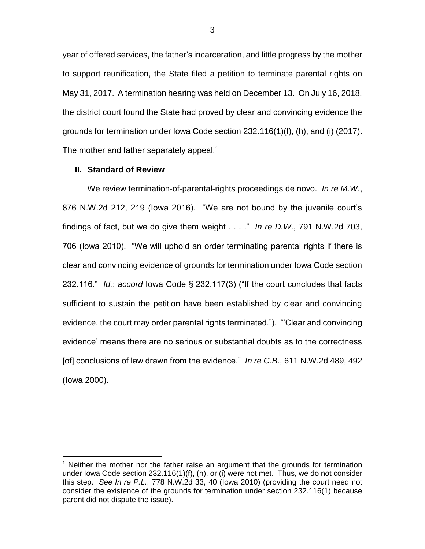year of offered services, the father's incarceration, and little progress by the mother to support reunification, the State filed a petition to terminate parental rights on May 31, 2017. A termination hearing was held on December 13. On July 16, 2018, the district court found the State had proved by clear and convincing evidence the grounds for termination under Iowa Code section 232.116(1)(f), (h), and (i) (2017). The mother and father separately appeal.<sup>1</sup>

### **II. Standard of Review**

 $\overline{a}$ 

We review termination-of-parental-rights proceedings de novo. *In re M.W.*, 876 N.W.2d 212, 219 (Iowa 2016). "We are not bound by the juvenile court's findings of fact, but we do give them weight . . . ." *In re D.W.*, 791 N.W.2d 703, 706 (Iowa 2010). "We will uphold an order terminating parental rights if there is clear and convincing evidence of grounds for termination under Iowa Code section 232.116." *Id.*; *accord* Iowa Code § 232.117(3) ("If the court concludes that facts sufficient to sustain the petition have been established by clear and convincing evidence, the court may order parental rights terminated."). "'Clear and convincing evidence' means there are no serious or substantial doubts as to the correctness [of] conclusions of law drawn from the evidence." *In re C.B.*, 611 N.W.2d 489, 492 (Iowa 2000).

<sup>&</sup>lt;sup>1</sup> Neither the mother nor the father raise an argument that the grounds for termination under Iowa Code section 232.116(1)(f), (h), or (i) were not met. Thus, we do not consider this step. *See In re P.L.*, 778 N.W.2d 33, 40 (Iowa 2010) (providing the court need not consider the existence of the grounds for termination under section 232.116(1) because parent did not dispute the issue).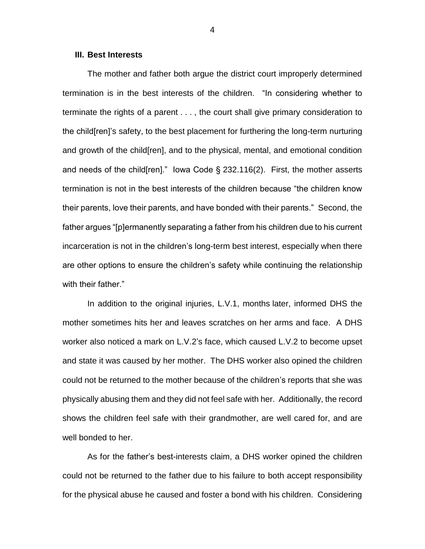#### **III. Best Interests**

The mother and father both argue the district court improperly determined termination is in the best interests of the children. "In considering whether to terminate the rights of a parent . . . , the court shall give primary consideration to the child[ren]'s safety, to the best placement for furthering the long-term nurturing and growth of the child[ren], and to the physical, mental, and emotional condition and needs of the child[ren]." Iowa Code § 232.116(2). First, the mother asserts termination is not in the best interests of the children because "the children know their parents, love their parents, and have bonded with their parents." Second, the father argues "[p]ermanently separating a father from his children due to his current incarceration is not in the children's long-term best interest, especially when there are other options to ensure the children's safety while continuing the relationship with their father."

In addition to the original injuries, L.V.1, months later, informed DHS the mother sometimes hits her and leaves scratches on her arms and face. A DHS worker also noticed a mark on L.V.2's face, which caused L.V.2 to become upset and state it was caused by her mother. The DHS worker also opined the children could not be returned to the mother because of the children's reports that she was physically abusing them and they did not feel safe with her. Additionally, the record shows the children feel safe with their grandmother, are well cared for, and are well bonded to her.

As for the father's best-interests claim, a DHS worker opined the children could not be returned to the father due to his failure to both accept responsibility for the physical abuse he caused and foster a bond with his children. Considering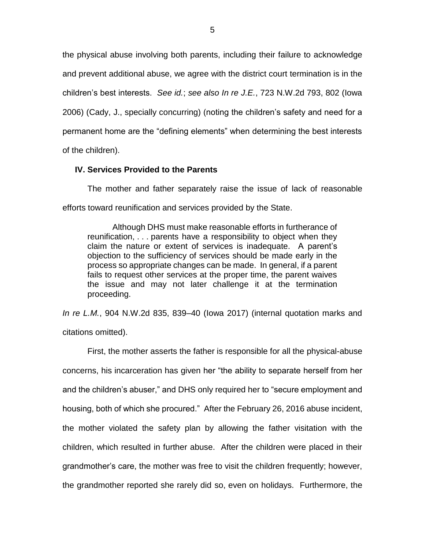the physical abuse involving both parents, including their failure to acknowledge and prevent additional abuse, we agree with the district court termination is in the children's best interests. *See id.*; *see also In re J.E.*, 723 N.W.2d 793, 802 (Iowa 2006) (Cady, J., specially concurring) (noting the children's safety and need for a permanent home are the "defining elements" when determining the best interests of the children).

### **IV. Services Provided to the Parents**

The mother and father separately raise the issue of lack of reasonable efforts toward reunification and services provided by the State.

Although DHS must make reasonable efforts in furtherance of reunification, . . . parents have a responsibility to object when they claim the nature or extent of services is inadequate. A parent's objection to the sufficiency of services should be made early in the process so appropriate changes can be made. In general, if a parent fails to request other services at the proper time, the parent waives the issue and may not later challenge it at the termination proceeding.

*In re L.M.*, 904 N.W.2d 835, 839–40 (Iowa 2017) (internal quotation marks and citations omitted).

First, the mother asserts the father is responsible for all the physical-abuse concerns, his incarceration has given her "the ability to separate herself from her and the children's abuser," and DHS only required her to "secure employment and housing, both of which she procured." After the February 26, 2016 abuse incident, the mother violated the safety plan by allowing the father visitation with the children, which resulted in further abuse. After the children were placed in their grandmother's care, the mother was free to visit the children frequently; however, the grandmother reported she rarely did so, even on holidays. Furthermore, the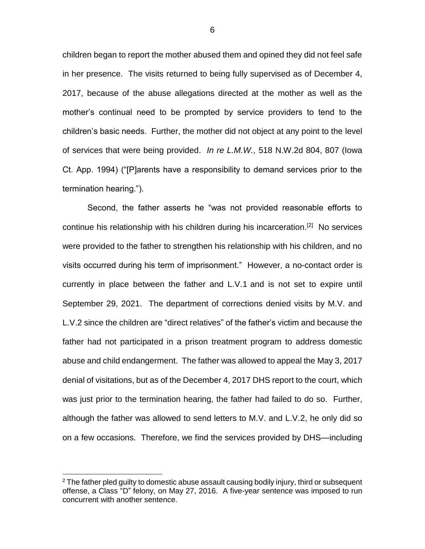children began to report the mother abused them and opined they did not feel safe in her presence. The visits returned to being fully supervised as of December 4, 2017, because of the abuse allegations directed at the mother as well as the mother's continual need to be prompted by service providers to tend to the children's basic needs. Further, the mother did not object at any point to the level of services that were being provided. *In re L.M.W.*, 518 N.W.2d 804, 807 (Iowa Ct. App. 1994) ("[P]arents have a responsibility to demand services prior to the termination hearing.").

Second, the father asserts he "was not provided reasonable efforts to continue his relationship with his children during his incarceration.<sup>[2]</sup> No services were provided to the father to strengthen his relationship with his children, and no visits occurred during his term of imprisonment." However, a no-contact order is currently in place between the father and L.V.1 and is not set to expire until September 29, 2021. The department of corrections denied visits by M.V. and L.V.2 since the children are "direct relatives" of the father's victim and because the father had not participated in a prison treatment program to address domestic abuse and child endangerment. The father was allowed to appeal the May 3, 2017 denial of visitations, but as of the December 4, 2017 DHS report to the court, which was just prior to the termination hearing, the father had failed to do so. Further, although the father was allowed to send letters to M.V. and L.V.2, he only did so on a few occasions. Therefore, we find the services provided by DHS—including

 $\overline{a}$ 

 $2$  The father pled guilty to domestic abuse assault causing bodily injury, third or subsequent offense, a Class "D" felony, on May 27, 2016. A five-year sentence was imposed to run concurrent with another sentence.